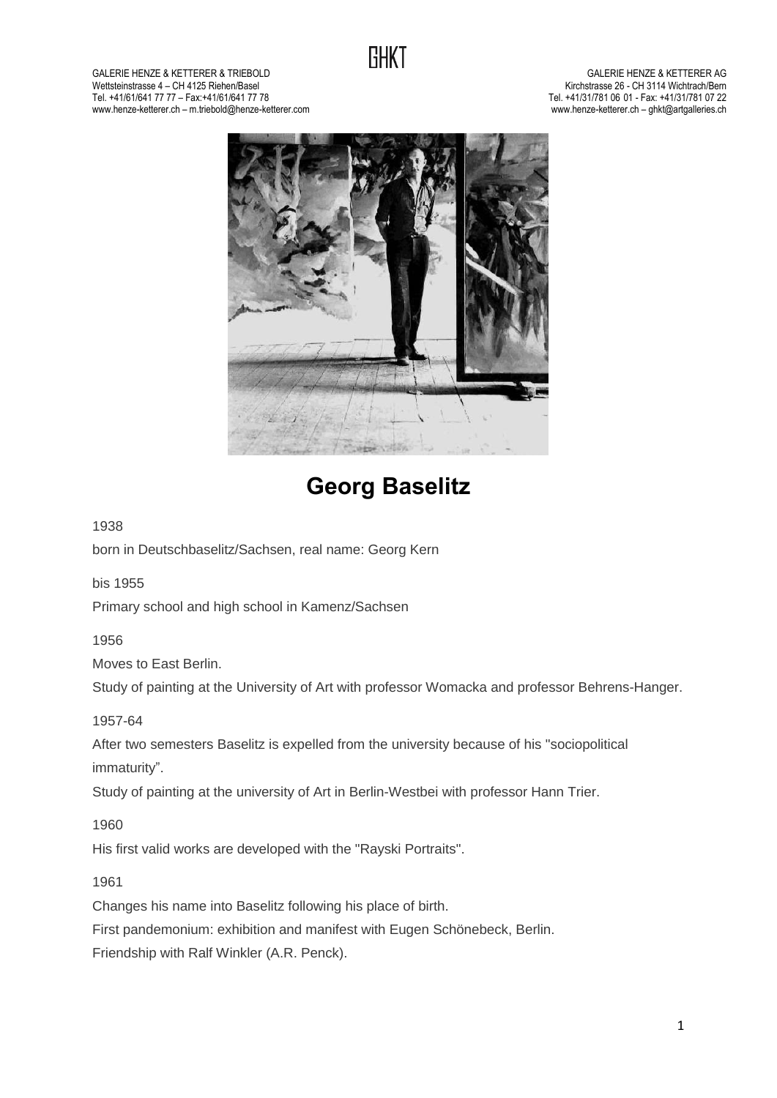

GALERIE HENZE & KETTERER & TRIEBOLD<br>Wettsteinstrasse 4 – CH 4125 Riehen/Basel Wettsteinstrasse 4 – CH 4125 Riehen/Basel (1992) and the state of the state of the state of the state of the state of the state of the state of the state of the state of the state of the state of the state of the state of Tel. +41/61/641 77 77 – Fax:+41/61/641 77 78 Tel. +41/31/781 06 01 - Fax: +41/31/781 07 22 www.henze-ketterer.ch – m.triebold@henze-ketterer.com



# **Georg Baselitz**

#### 1938

born in Deutschbaselitz/Sachsen, real name: Georg Kern

bis 1955

Primary school and high school in Kamenz/Sachsen

1956

Moves to East Berlin.

Study of painting at the University of Art with professor Womacka and professor Behrens-Hanger.

1957-64

After two semesters Baselitz is expelled from the university because of his "sociopolitical immaturity".

Study of painting at the university of Art in Berlin-Westbei with professor Hann Trier.

1960

His first valid works are developed with the "Rayski Portraits".

1961

Changes his name into Baselitz following his place of birth.

First pandemonium: exhibition and manifest with Eugen Schönebeck, Berlin.

Friendship with Ralf Winkler (A.R. Penck).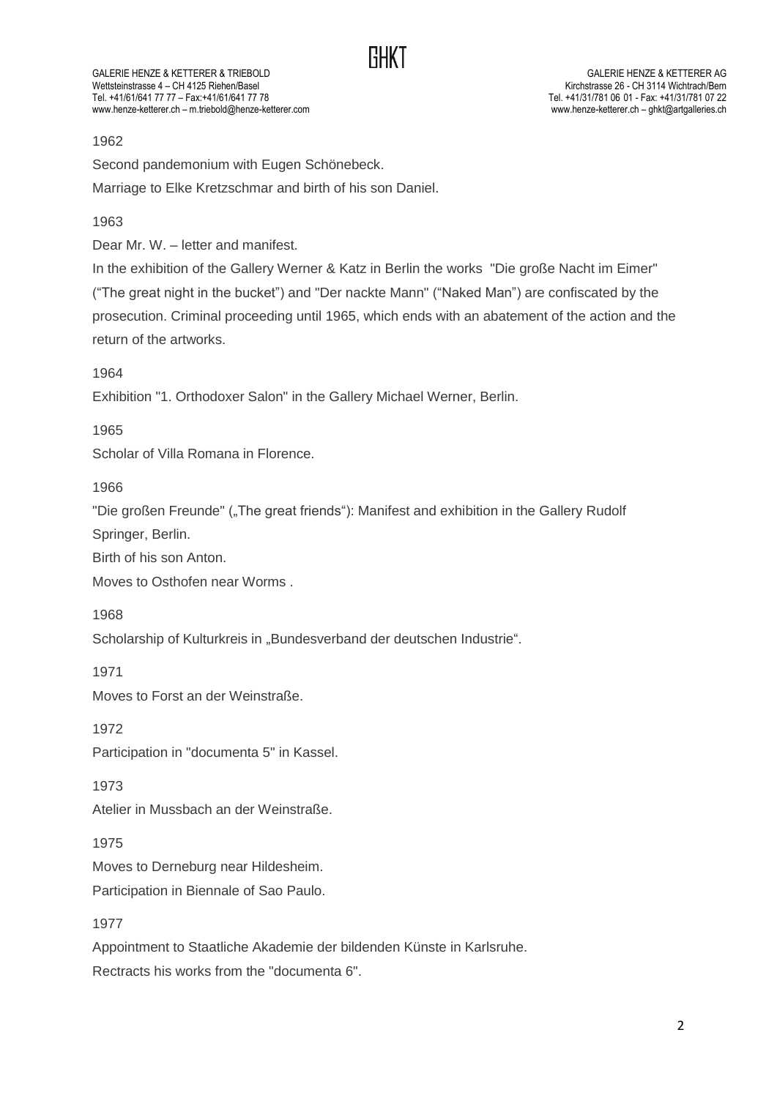GALERIE HENZE & KETTERER & TRIEBOLD<br>Wettsteinstrasse 4 – CH 4125 Riehen/Basel Wettsteinstrasse 4 – CH 4125 Riehen/Basel<br>Tel. +41/61/641 77 77 – Fax:+41/61/641 77 78 www.henze-ketterer.ch – m.triebold@henze-ketterer.com

Tel. +41/31/781 06 01 - Fax: +41/31/781 07 22<br>www.henze-ketterer.ch - qhkt@artqalleries.ch

# 1962

Second pandemonium with Eugen Schönebeck.

Marriage to Elke Kretzschmar and birth of his son Daniel.

1963

Dear Mr. W. – letter and manifest.

In the exhibition of the Gallery Werner & Katz in Berlin the works "Die große Nacht im Eimer" ("The great night in the bucket") and "Der nackte Mann" ("Naked Man") are confiscated by the prosecution. Criminal proceeding until 1965, which ends with an abatement of the action and the return of the artworks.

1964

Exhibition "1. Orthodoxer Salon" in the Gallery Michael Werner, Berlin.

1965

Scholar of Villa Romana in Florence.

1966

"Die großen Freunde" ("The great friends"): Manifest and exhibition in the Gallery Rudolf

Springer, Berlin.

Birth of his son Anton.

Moves to Osthofen near Worms .

1968

Scholarship of Kulturkreis in "Bundesverband der deutschen Industrie".

1971

Moves to Forst an der Weinstraße.

1972

Participation in "documenta 5" in Kassel.

1973

Atelier in Mussbach an der Weinstraße.

1975

Moves to Derneburg near Hildesheim.

Participation in Biennale of Sao Paulo.

1977

Appointment to Staatliche Akademie der bildenden Künste in Karlsruhe.

Rectracts his works from the "documenta 6".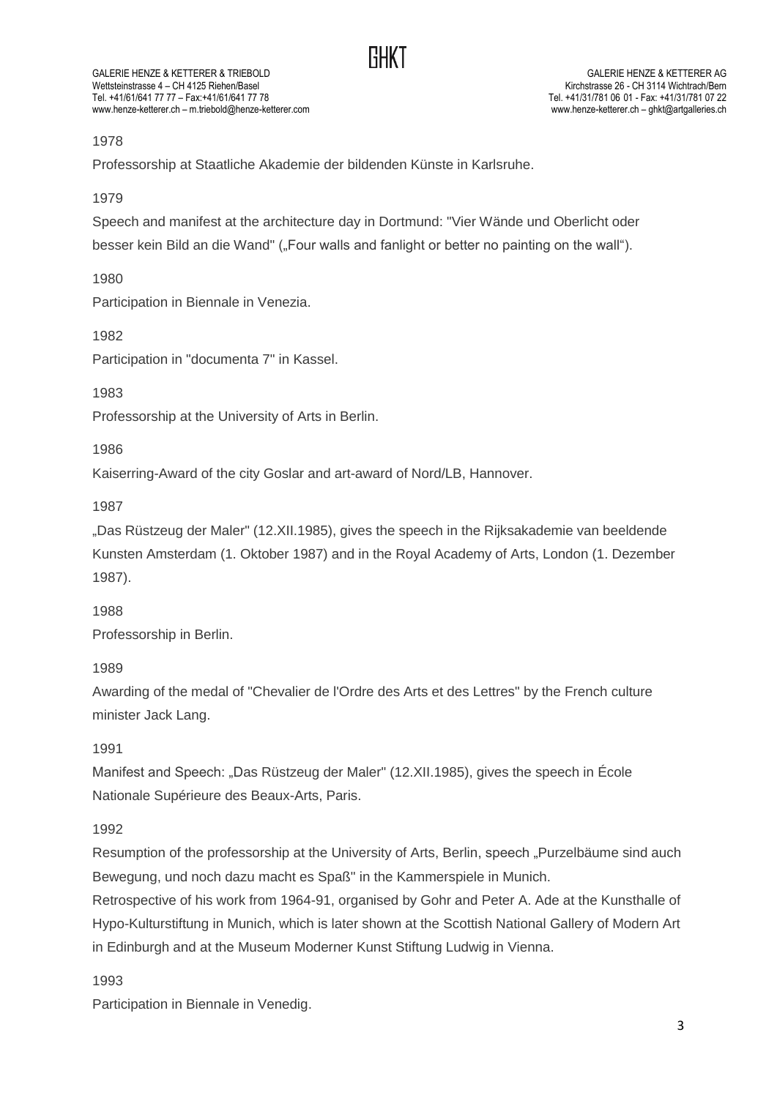GALERIE HENZE & KETTERER & TRIEBOLD<br>Weltsteinstrasse 4 – CH 4125 Riehen/Basel Wettsteinstrasse 4 - CH 4125 Riehen/Basel Tel. +41/61/641 77 77 – Fax:+41/61/641 77 78 Tel. +41/31/781 06 01 - Fax: +41/31/781 07 22 www.henze-ketterer.ch – m.triebold@henze-ketterer.com

# 1978

Professorship at Staatliche Akademie der bildenden Künste in Karlsruhe.

1979

Speech and manifest at the architecture day in Dortmund: "Vier Wände und Oberlicht oder

besser kein Bild an die Wand" ("Four walls and fanlight or better no painting on the wall").

1980

Participation in Biennale in Venezia.

1982

Participation in "documenta 7" in Kassel.

1983

Professorship at the University of Arts in Berlin.

1986

Kaiserring-Award of the city Goslar and art-award of Nord/LB, Hannover.

1987

"Das Rüstzeug der Maler" (12.XII.1985), gives the speech in the Rijksakademie van beeldende Kunsten Amsterdam (1. Oktober 1987) and in the Royal Academy of Arts, London (1. Dezember 1987).

1988

Professorship in Berlin.

1989

Awarding of the medal of "Chevalier de l'Ordre des Arts et des Lettres" by the French culture minister Jack Lang.

1991

Manifest and Speech: "Das Rüstzeug der Maler" (12.XII.1985), gives the speech in École Nationale Supérieure des Beaux-Arts, Paris.

1992

Resumption of the professorship at the University of Arts, Berlin, speech "Purzelbäume sind auch Bewegung, und noch dazu macht es Spaß" in the Kammerspiele in Munich.

Retrospective of his work from 1964-91, organised by Gohr and Peter A. Ade at the Kunsthalle of Hypo-Kulturstiftung in Munich, which is later shown at the Scottish National Gallery of Modern Art in Edinburgh and at the Museum Moderner Kunst Stiftung Ludwig in Vienna.

1993

Participation in Biennale in Venedig.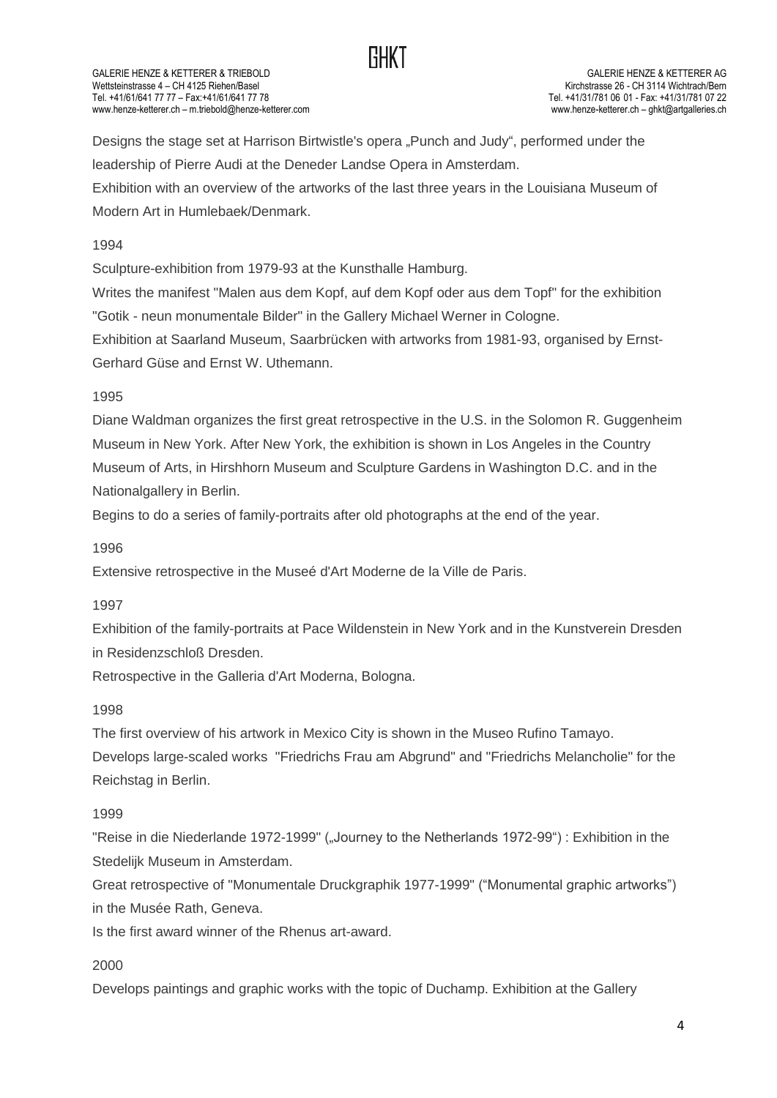

GALERIE HENZE & KETTERER & TRIEBOLD<br>Wettsteinstrasse 4 – CH 4125 Riehen/Basel Wettsteinstrasse 4 - CH 4125 Riehen/Basel Tel. +41/61/641 77 77 – Fax:+41/61/641 77 78 Tel. +41/31/781 06 01 - Fax: +41/31/781 07 22 www.henze-ketterer.ch – m.triebold@henze-ketterer.com

Designs the stage set at Harrison Birtwistle's opera "Punch and Judy", performed under the leadership of Pierre Audi at the Deneder Landse Opera in Amsterdam. Exhibition with an overview of the artworks of the last three years in the Louisiana Museum of Modern Art in Humlebaek/Denmark.

#### 1994

Sculpture-exhibition from 1979-93 at the Kunsthalle Hamburg.

Writes the manifest "Malen aus dem Kopf, auf dem Kopf oder aus dem Topf" for the exhibition "Gotik - neun monumentale Bilder" in the Gallery Michael Werner in Cologne.

Exhibition at Saarland Museum, Saarbrücken with artworks from 1981-93, organised by Ernst-Gerhard Güse and Ernst W. Uthemann.

#### 1995

Diane Waldman organizes the first great retrospective in the U.S. in the Solomon R. Guggenheim Museum in New York. After New York, the exhibition is shown in Los Angeles in the Country Museum of Arts, in Hirshhorn Museum and Sculpture Gardens in Washington D.C. and in the Nationalgallery in Berlin.

Begins to do a series of family-portraits after old photographs at the end of the year.

#### 1996

Extensive retrospective in the Museé d'Art Moderne de la Ville de Paris.

#### 1997

Exhibition of the family-portraits at Pace Wildenstein in New York and in the Kunstverein Dresden in Residenzschloß Dresden.

Retrospective in the Galleria d'Art Moderna, Bologna.

#### 1998

The first overview of his artwork in Mexico City is shown in the Museo Rufino Tamayo. Develops large-scaled works "Friedrichs Frau am Abgrund" and "Friedrichs Melancholie" for the Reichstag in Berlin.

#### 1999

"Reise in die Niederlande 1972-1999" ("Journey to the Netherlands 1972-99") : Exhibition in the Stedelijk Museum in Amsterdam.

Great retrospective of "Monumentale Druckgraphik 1977-1999" ("Monumental graphic artworks") in the Musée Rath, Geneva.

Is the first award winner of the Rhenus art-award.

#### 2000

Develops paintings and graphic works with the topic of Duchamp. Exhibition at the Gallery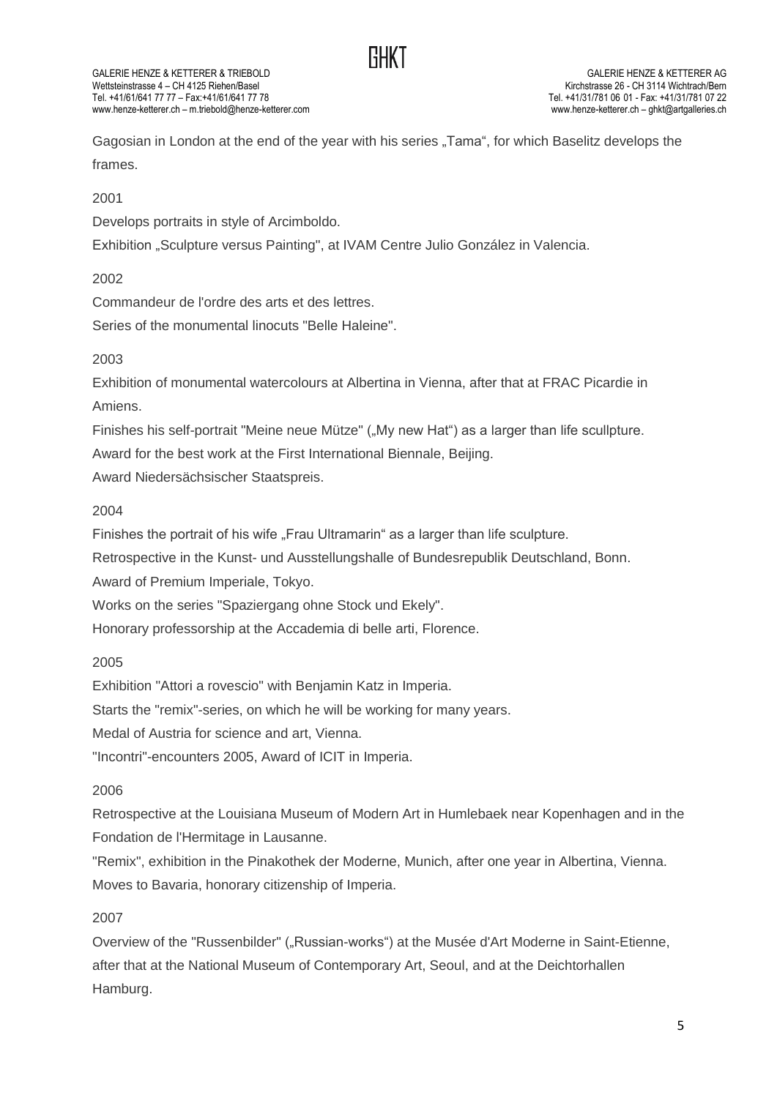# **GHKT**

GALERIE HENZE & KETTERER & TRIEBOLD<br>Weltsteinstrasse 4 – CH 4125 Riehen/Basel Wettsteinstrasse 4 - CH 4125 Riehen/Basel Tel. +41/61/641 77 77 – Fax:+41/61/641 77 78 Tel. +41/31/781 06 01 - Fax: +41/31/781 07 22 www.henze-ketterer.ch – m.triebold@henze-ketterer.com

Gagosian in London at the end of the year with his series "Tama", for which Baselitz develops the frames.

2001

Develops portraits in style of Arcimboldo.

Exhibition "Sculpture versus Painting", at IVAM Centre Julio González in Valencia.

2002

Commandeur de l'ordre des arts et des lettres.

Series of the monumental linocuts "Belle Haleine".

# 2003

Exhibition of monumental watercolours at Albertina in Vienna, after that at FRAC Picardie in Amiens.

Finishes his self-portrait "Meine neue Mütze" ("My new Hat") as a larger than life scullpture. Award for the best work at the First International Biennale, Beijing.

Award Niedersächsischer Staatspreis.

#### 2004

Finishes the portrait of his wife "Frau Ultramarin" as a larger than life sculpture.

Retrospective in the Kunst- und Ausstellungshalle of Bundesrepublik Deutschland, Bonn.

Award of Premium Imperiale, Tokyo.

Works on the series "Spaziergang ohne Stock und Ekely".

Honorary professorship at the Accademia di belle arti, Florence.

#### 2005

Exhibition "Attori a rovescio" with Benjamin Katz in Imperia.

Starts the "remix"-series, on which he will be working for many years.

Medal of Austria for science and art, Vienna.

"Incontri"-encounters 2005, Award of ICIT in Imperia.

# 2006

Retrospective at the Louisiana Museum of Modern Art in Humlebaek near Kopenhagen and in the Fondation de l'Hermitage in Lausanne.

"Remix", exhibition in the Pinakothek der Moderne, Munich, after one year in Albertina, Vienna. Moves to Bavaria, honorary citizenship of Imperia.

# 2007

Overview of the "Russenbilder" ("Russian-works") at the Musée d'Art Moderne in Saint-Etienne, after that at the National Museum of Contemporary Art, Seoul, and at the Deichtorhallen Hamburg.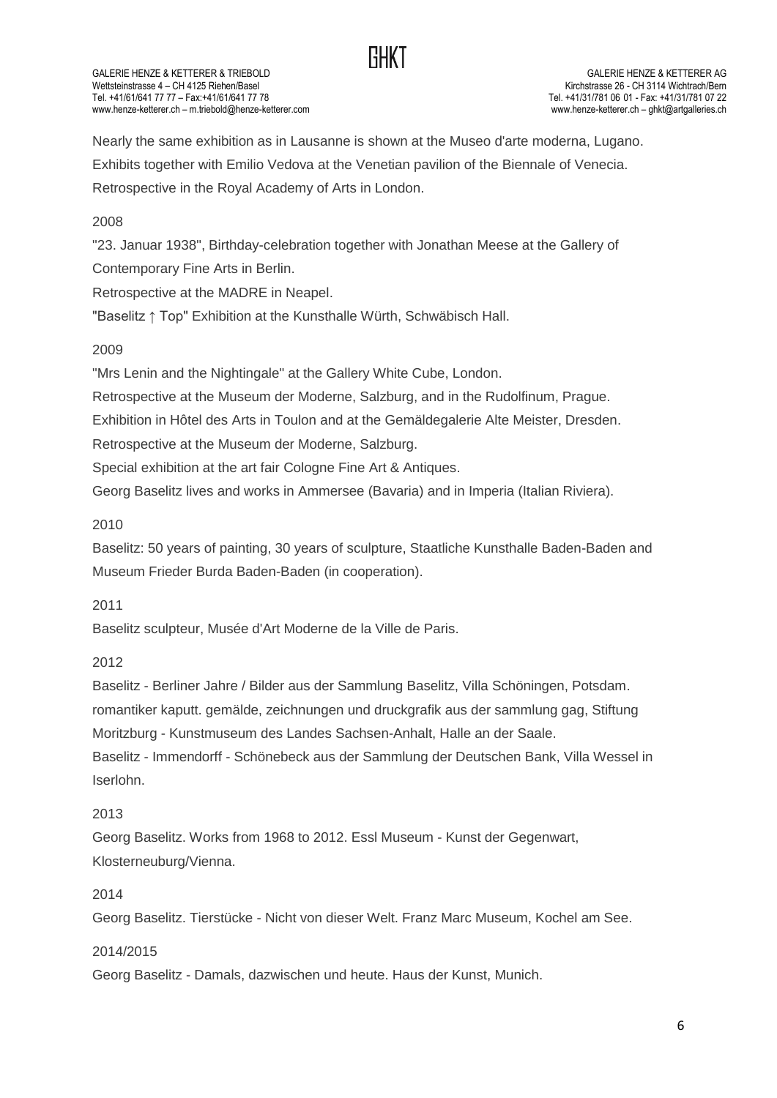

GALERIE HENZE & KETTERER & TRIEBOLD<br>Weltsteinstrasse 4 – CH 4125 Riehen/Basel Wettsteinstrasse 4 - CH 4125 Riehen/Basel Tel. +41/61/641 77 77 – Fax:+41/61/641 77 78 Tel. +41/31/781 06 01 - Fax: +41/31/781 07 22 www.henze-ketterer.ch – m.triebold@henze-ketterer.com

Nearly the same exhibition as in Lausanne is shown at the Museo d'arte moderna, Lugano. Exhibits together with Emilio Vedova at the Venetian pavilion of the Biennale of Venecia. Retrospective in the Royal Academy of Arts in London.

#### 2008

"23. Januar 1938", Birthday-celebration together with Jonathan Meese at the Gallery of Contemporary Fine Arts in Berlin.

Retrospective at the MADRE in Neapel.

"Baselitz ↑ Top" Exhibition at the Kunsthalle Würth, Schwäbisch Hall.

# 2009

"Mrs Lenin and the Nightingale" at the Gallery White Cube, London.

Retrospective at the Museum der Moderne, Salzburg, and in the Rudolfinum, Prague.

Exhibition in Hôtel des Arts in Toulon and at the Gemäldegalerie Alte Meister, Dresden.

Retrospective at the Museum der Moderne, Salzburg.

Special exhibition at the art fair Cologne Fine Art & Antiques.

Georg Baselitz lives and works in Ammersee (Bavaria) and in Imperia (Italian Riviera).

#### 2010

Baselitz: 50 years of painting, 30 years of sculpture, Staatliche Kunsthalle Baden-Baden and Museum Frieder Burda Baden-Baden (in cooperation).

#### 2011

Baselitz sculpteur, Musée d'Art Moderne de la Ville de Paris.

#### 2012

Baselitz - Berliner Jahre / Bilder aus der Sammlung Baselitz, Villa Schöningen, Potsdam. romantiker kaputt. gemälde, zeichnungen und druckgrafik aus der sammlung gag, Stiftung Moritzburg - Kunstmuseum des Landes Sachsen-Anhalt, Halle an der Saale. Baselitz - Immendorff - Schönebeck aus der Sammlung der Deutschen Bank, Villa Wessel in Iserlohn.

#### 2013

Georg Baselitz. Works from 1968 to 2012. Essl Museum - Kunst der Gegenwart, Klosterneuburg/Vienna.

# 2014

Georg Baselitz. Tierstücke - Nicht von dieser Welt. Franz Marc Museum, Kochel am See.

#### 2014/2015

Georg Baselitz - Damals, dazwischen und heute. Haus der Kunst, Munich.